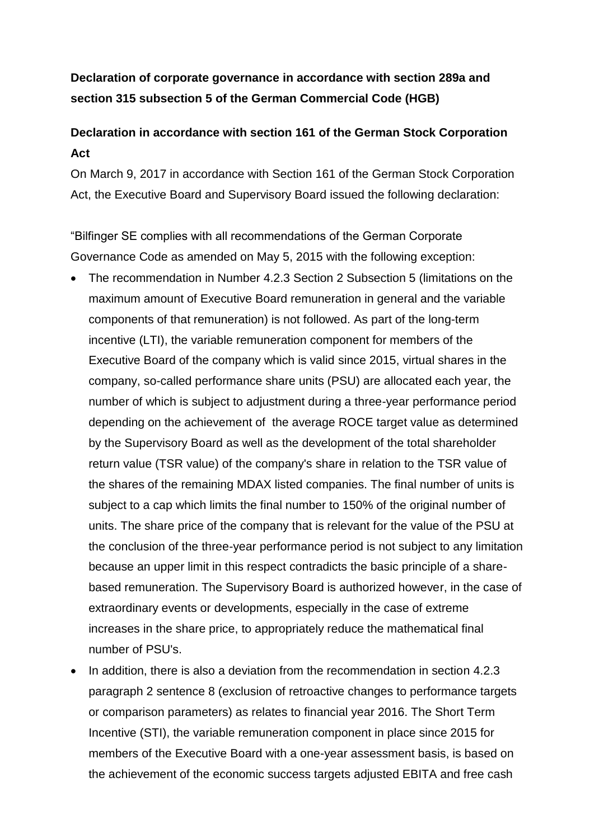# **Declaration of corporate governance in accordance with section 289a and section 315 subsection 5 of the German Commercial Code (HGB)**

# **Declaration in accordance with section 161 of the German Stock Corporation Act**

On March 9, 2017 in accordance with Section 161 of the German Stock Corporation Act, the Executive Board and Supervisory Board issued the following declaration:

"Bilfinger SE complies with all recommendations of the German Corporate Governance Code as amended on May 5, 2015 with the following exception:

- The recommendation in Number 4.2.3 Section 2 Subsection 5 (limitations on the maximum amount of Executive Board remuneration in general and the variable components of that remuneration) is not followed. As part of the long-term incentive (LTI), the variable remuneration component for members of the Executive Board of the company which is valid since 2015, virtual shares in the company, so-called performance share units (PSU) are allocated each year, the number of which is subject to adjustment during a three-year performance period depending on the achievement of the average ROCE target value as determined by the Supervisory Board as well as the development of the total shareholder return value (TSR value) of the company's share in relation to the TSR value of the shares of the remaining MDAX listed companies. The final number of units is subject to a cap which limits the final number to 150% of the original number of units. The share price of the company that is relevant for the value of the PSU at the conclusion of the three-year performance period is not subject to any limitation because an upper limit in this respect contradicts the basic principle of a sharebased remuneration. The Supervisory Board is authorized however, in the case of extraordinary events or developments, especially in the case of extreme increases in the share price, to appropriately reduce the mathematical final number of PSU's.
- $\bullet$  In addition, there is also a deviation from the recommendation in section 4.2.3 paragraph 2 sentence 8 (exclusion of retroactive changes to performance targets or comparison parameters) as relates to financial year 2016. The Short Term Incentive (STI), the variable remuneration component in place since 2015 for members of the Executive Board with a one-year assessment basis, is based on the achievement of the economic success targets adjusted EBITA and free cash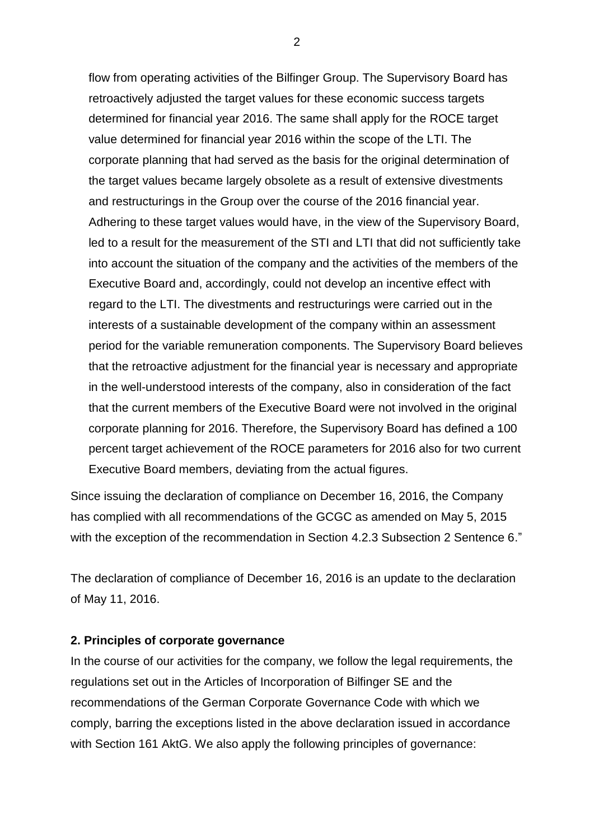flow from operating activities of the Bilfinger Group. The Supervisory Board has retroactively adjusted the target values for these economic success targets determined for financial year 2016. The same shall apply for the ROCE target value determined for financial year 2016 within the scope of the LTI. The corporate planning that had served as the basis for the original determination of the target values became largely obsolete as a result of extensive divestments and restructurings in the Group over the course of the 2016 financial year. Adhering to these target values would have, in the view of the Supervisory Board, led to a result for the measurement of the STI and LTI that did not sufficiently take into account the situation of the company and the activities of the members of the Executive Board and, accordingly, could not develop an incentive effect with regard to the LTI. The divestments and restructurings were carried out in the interests of a sustainable development of the company within an assessment period for the variable remuneration components. The Supervisory Board believes that the retroactive adjustment for the financial year is necessary and appropriate in the well-understood interests of the company, also in consideration of the fact that the current members of the Executive Board were not involved in the original corporate planning for 2016. Therefore, the Supervisory Board has defined a 100 percent target achievement of the ROCE parameters for 2016 also for two current Executive Board members, deviating from the actual figures.

Since issuing the declaration of compliance on December 16, 2016, the Company has complied with all recommendations of the GCGC as amended on May 5, 2015 with the exception of the recommendation in Section 4.2.3 Subsection 2 Sentence 6."

The declaration of compliance of December 16, 2016 is an update to the declaration of May 11, 2016.

#### **2. Principles of corporate governance**

In the course of our activities for the company, we follow the legal requirements, the regulations set out in the Articles of Incorporation of Bilfinger SE and the recommendations of the German Corporate Governance Code with which we comply, barring the exceptions listed in the above declaration issued in accordance with Section 161 AktG. We also apply the following principles of governance: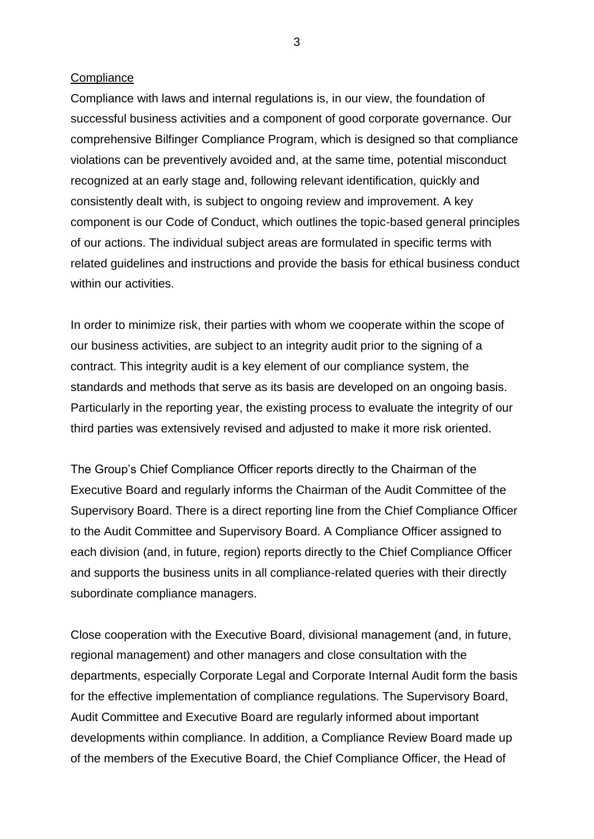#### **Compliance**

Compliance with laws and internal regulations is, in our view, the foundation of successful business activities and a component of good corporate governance. Our comprehensive Bilfinger Compliance Program, which is designed so that compliance violations can be preventively avoided and, at the same time, potential misconduct recognized at an early stage and, following relevant identification, quickly and consistently dealt with, is subject to ongoing review and improvement. A key component is our Code of Conduct, which outlines the topic-based general principles of our actions. The individual subject areas are formulated in specific terms with related guidelines and instructions and provide the basis for ethical business conduct within our activities.

In order to minimize risk, their parties with whom we cooperate within the scope of our business activities, are subject to an integrity audit prior to the signing of a contract. This integrity audit is a key element of our compliance system, the standards and methods that serve as its basis are developed on an ongoing basis. Particularly in the reporting year, the existing process to evaluate the integrity of our third parties was extensively revised and adjusted to make it more risk oriented.

The Group's Chief Compliance Officer reports directly to the Chairman of the Executive Board and regularly informs the Chairman of the Audit Committee of the Supervisory Board. There is a direct reporting line from the Chief Compliance Officer to the Audit Committee and Supervisory Board. A Compliance Officer assigned to each division (and, in future, region) reports directly to the Chief Compliance Officer and supports the business units in all compliance-related queries with their directly subordinate compliance managers.

Close cooperation with the Executive Board, divisional management (and, in future, regional management) and other managers and close consultation with the departments, especially Corporate Legal and Corporate Internal Audit form the basis for the effective implementation of compliance regulations. The Supervisory Board, Audit Committee and Executive Board are regularly informed about important developments within compliance. In addition, a Compliance Review Board made up of the members of the Executive Board, the Chief Compliance Officer, the Head of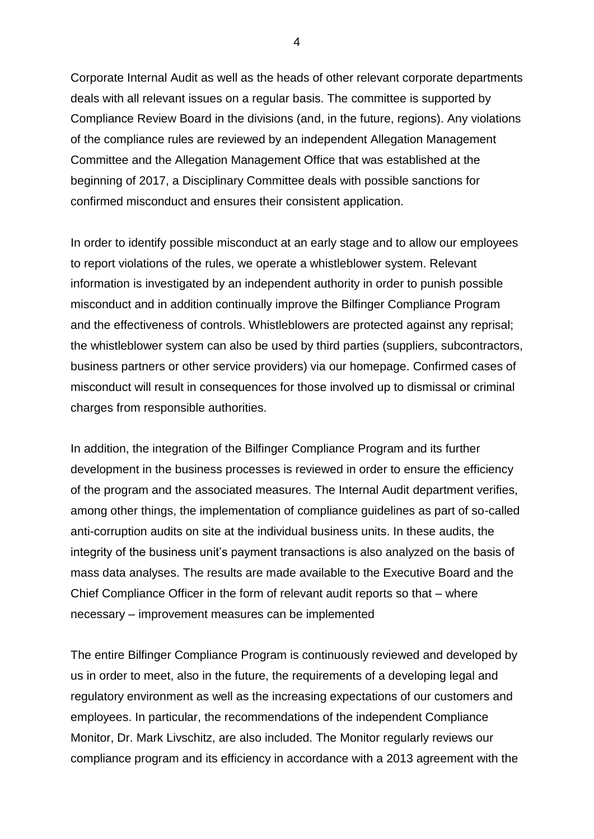Corporate Internal Audit as well as the heads of other relevant corporate departments deals with all relevant issues on a regular basis. The committee is supported by Compliance Review Board in the divisions (and, in the future, regions). Any violations of the compliance rules are reviewed by an independent Allegation Management Committee and the Allegation Management Office that was established at the beginning of 2017, a Disciplinary Committee deals with possible sanctions for confirmed misconduct and ensures their consistent application.

In order to identify possible misconduct at an early stage and to allow our employees to report violations of the rules, we operate a whistleblower system. Relevant information is investigated by an independent authority in order to punish possible misconduct and in addition continually improve the Bilfinger Compliance Program and the effectiveness of controls. Whistleblowers are protected against any reprisal; the whistleblower system can also be used by third parties (suppliers, subcontractors, business partners or other service providers) via our homepage. Confirmed cases of misconduct will result in consequences for those involved up to dismissal or criminal charges from responsible authorities.

In addition, the integration of the Bilfinger Compliance Program and its further development in the business processes is reviewed in order to ensure the efficiency of the program and the associated measures. The Internal Audit department verifies, among other things, the implementation of compliance guidelines as part of so-called anti-corruption audits on site at the individual business units. In these audits, the integrity of the business unit's payment transactions is also analyzed on the basis of mass data analyses. The results are made available to the Executive Board and the Chief Compliance Officer in the form of relevant audit reports so that – where necessary – improvement measures can be implemented

The entire Bilfinger Compliance Program is continuously reviewed and developed by us in order to meet, also in the future, the requirements of a developing legal and regulatory environment as well as the increasing expectations of our customers and employees. In particular, the recommendations of the independent Compliance Monitor, Dr. Mark Livschitz, are also included. The Monitor regularly reviews our compliance program and its efficiency in accordance with a 2013 agreement with the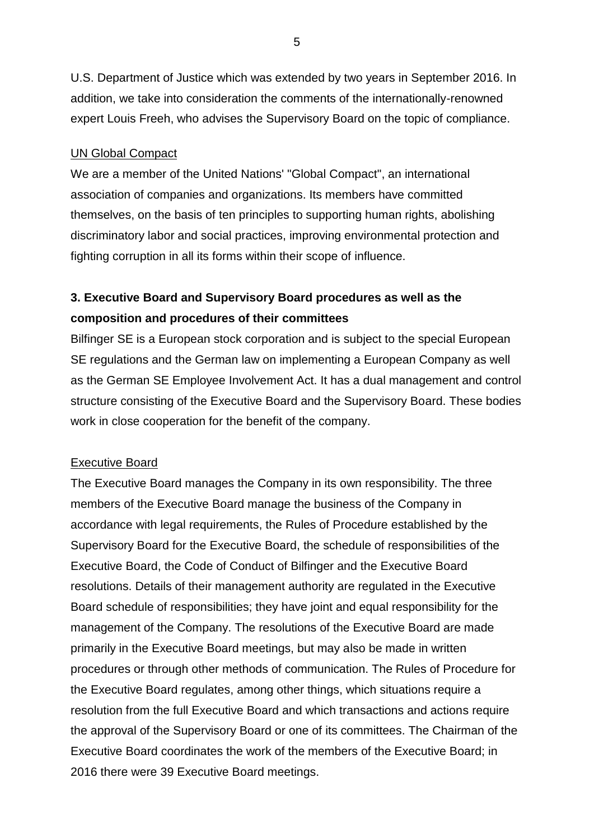U.S. Department of Justice which was extended by two years in September 2016. In addition, we take into consideration the comments of the internationally-renowned expert Louis Freeh, who advises the Supervisory Board on the topic of compliance.

### UN Global Compact

We are a member of the United Nations' "Global Compact", an international association of companies and organizations. Its members have committed themselves, on the basis of ten principles to supporting human rights, abolishing discriminatory labor and social practices, improving environmental protection and fighting corruption in all its forms within their scope of influence.

## **3. Executive Board and Supervisory Board procedures as well as the composition and procedures of their committees**

Bilfinger SE is a European stock corporation and is subject to the special European SE regulations and the German law on implementing a European Company as well as the German SE Employee Involvement Act. It has a dual management and control structure consisting of the Executive Board and the Supervisory Board. These bodies work in close cooperation for the benefit of the company.

#### Executive Board

The Executive Board manages the Company in its own responsibility. The three members of the Executive Board manage the business of the Company in accordance with legal requirements, the Rules of Procedure established by the Supervisory Board for the Executive Board, the schedule of responsibilities of the Executive Board, the Code of Conduct of Bilfinger and the Executive Board resolutions. Details of their management authority are regulated in the Executive Board schedule of responsibilities; they have joint and equal responsibility for the management of the Company. The resolutions of the Executive Board are made primarily in the Executive Board meetings, but may also be made in written procedures or through other methods of communication. The Rules of Procedure for the Executive Board regulates, among other things, which situations require a resolution from the full Executive Board and which transactions and actions require the approval of the Supervisory Board or one of its committees. The Chairman of the Executive Board coordinates the work of the members of the Executive Board; in 2016 there were 39 Executive Board meetings.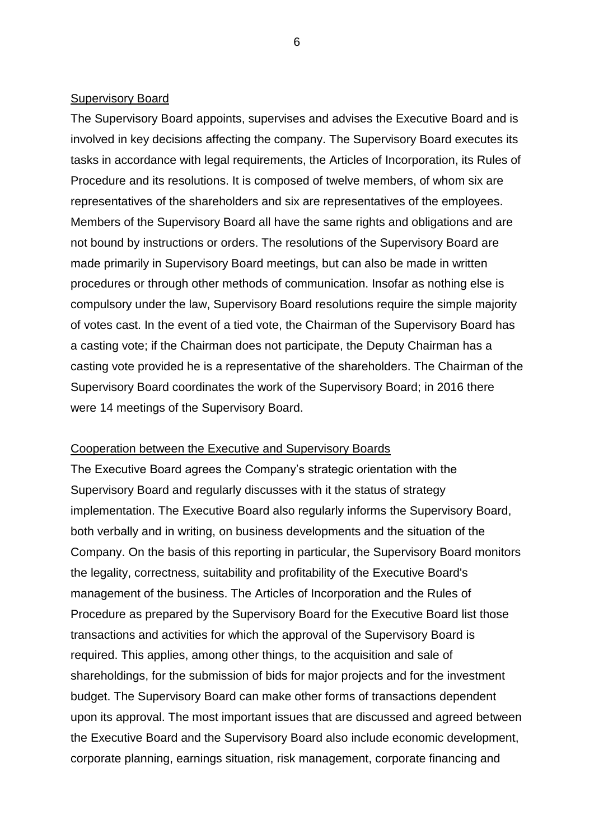#### Supervisory Board

The Supervisory Board appoints, supervises and advises the Executive Board and is involved in key decisions affecting the company. The Supervisory Board executes its tasks in accordance with legal requirements, the Articles of Incorporation, its Rules of Procedure and its resolutions. It is composed of twelve members, of whom six are representatives of the shareholders and six are representatives of the employees. Members of the Supervisory Board all have the same rights and obligations and are not bound by instructions or orders. The resolutions of the Supervisory Board are made primarily in Supervisory Board meetings, but can also be made in written procedures or through other methods of communication. Insofar as nothing else is compulsory under the law, Supervisory Board resolutions require the simple majority of votes cast. In the event of a tied vote, the Chairman of the Supervisory Board has a casting vote; if the Chairman does not participate, the Deputy Chairman has a casting vote provided he is a representative of the shareholders. The Chairman of the Supervisory Board coordinates the work of the Supervisory Board; in 2016 there were 14 meetings of the Supervisory Board.

#### Cooperation between the Executive and Supervisory Boards

The Executive Board agrees the Company's strategic orientation with the Supervisory Board and regularly discusses with it the status of strategy implementation. The Executive Board also regularly informs the Supervisory Board, both verbally and in writing, on business developments and the situation of the Company. On the basis of this reporting in particular, the Supervisory Board monitors the legality, correctness, suitability and profitability of the Executive Board's management of the business. The Articles of Incorporation and the Rules of Procedure as prepared by the Supervisory Board for the Executive Board list those transactions and activities for which the approval of the Supervisory Board is required. This applies, among other things, to the acquisition and sale of shareholdings, for the submission of bids for major projects and for the investment budget. The Supervisory Board can make other forms of transactions dependent upon its approval. The most important issues that are discussed and agreed between the Executive Board and the Supervisory Board also include economic development, corporate planning, earnings situation, risk management, corporate financing and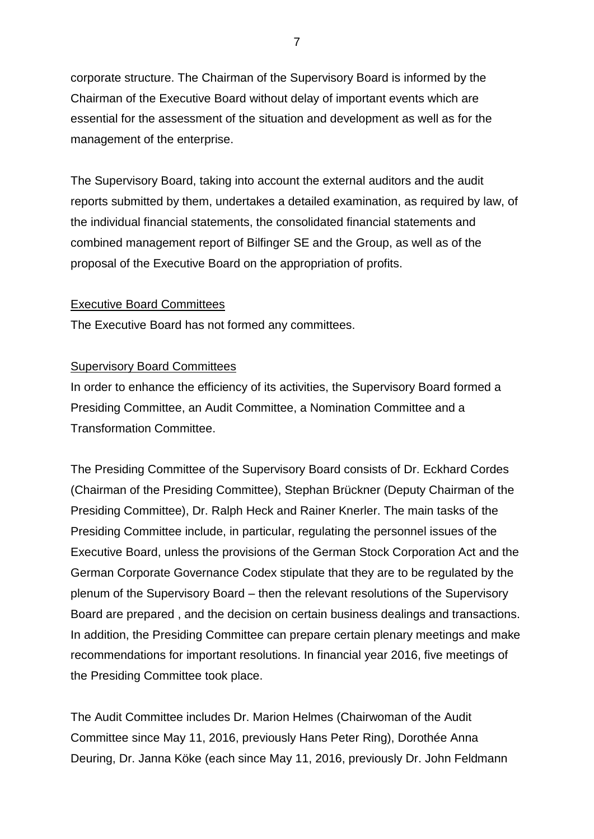corporate structure. The Chairman of the Supervisory Board is informed by the Chairman of the Executive Board without delay of important events which are essential for the assessment of the situation and development as well as for the management of the enterprise.

The Supervisory Board, taking into account the external auditors and the audit reports submitted by them, undertakes a detailed examination, as required by law, of the individual financial statements, the consolidated financial statements and combined management report of Bilfinger SE and the Group, as well as of the proposal of the Executive Board on the appropriation of profits.

### Executive Board Committees

The Executive Board has not formed any committees.

#### Supervisory Board Committees

In order to enhance the efficiency of its activities, the Supervisory Board formed a Presiding Committee, an Audit Committee, a Nomination Committee and a Transformation Committee.

The Presiding Committee of the Supervisory Board consists of Dr. Eckhard Cordes (Chairman of the Presiding Committee), Stephan Brückner (Deputy Chairman of the Presiding Committee), Dr. Ralph Heck and Rainer Knerler. The main tasks of the Presiding Committee include, in particular, regulating the personnel issues of the Executive Board, unless the provisions of the German Stock Corporation Act and the German Corporate Governance Codex stipulate that they are to be regulated by the plenum of the Supervisory Board – then the relevant resolutions of the Supervisory Board are prepared , and the decision on certain business dealings and transactions. In addition, the Presiding Committee can prepare certain plenary meetings and make recommendations for important resolutions. In financial year 2016, five meetings of the Presiding Committee took place.

The Audit Committee includes Dr. Marion Helmes (Chairwoman of the Audit Committee since May 11, 2016, previously Hans Peter Ring), Dorothée Anna Deuring, Dr. Janna Köke (each since May 11, 2016, previously Dr. John Feldmann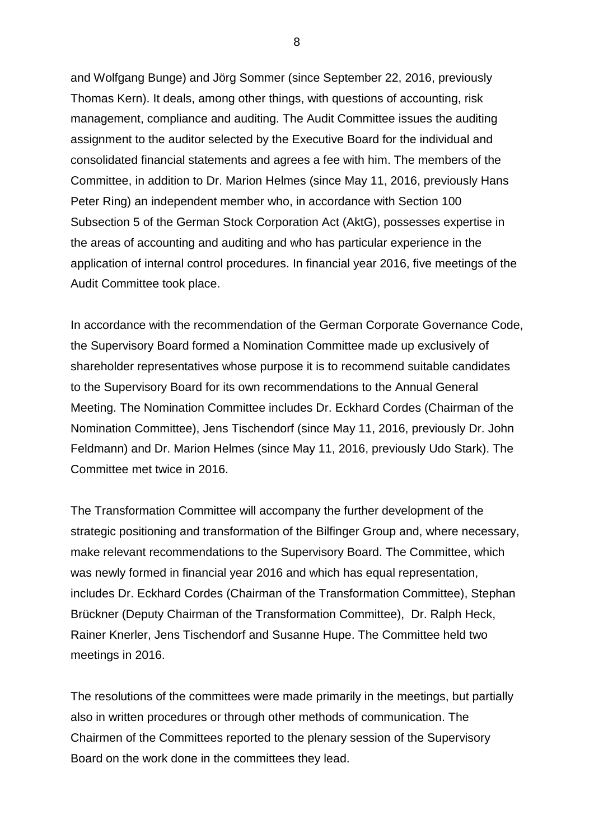and Wolfgang Bunge) and Jörg Sommer (since September 22, 2016, previously Thomas Kern). It deals, among other things, with questions of accounting, risk management, compliance and auditing. The Audit Committee issues the auditing assignment to the auditor selected by the Executive Board for the individual and consolidated financial statements and agrees a fee with him. The members of the Committee, in addition to Dr. Marion Helmes (since May 11, 2016, previously Hans Peter Ring) an independent member who, in accordance with Section 100 Subsection 5 of the German Stock Corporation Act (AktG), possesses expertise in the areas of accounting and auditing and who has particular experience in the application of internal control procedures. In financial year 2016, five meetings of the Audit Committee took place.

In accordance with the recommendation of the German Corporate Governance Code, the Supervisory Board formed a Nomination Committee made up exclusively of shareholder representatives whose purpose it is to recommend suitable candidates to the Supervisory Board for its own recommendations to the Annual General Meeting. The Nomination Committee includes Dr. Eckhard Cordes (Chairman of the Nomination Committee), Jens Tischendorf (since May 11, 2016, previously Dr. John Feldmann) and Dr. Marion Helmes (since May 11, 2016, previously Udo Stark). The Committee met twice in 2016.

The Transformation Committee will accompany the further development of the strategic positioning and transformation of the Bilfinger Group and, where necessary, make relevant recommendations to the Supervisory Board. The Committee, which was newly formed in financial year 2016 and which has equal representation, includes Dr. Eckhard Cordes (Chairman of the Transformation Committee), Stephan Brückner (Deputy Chairman of the Transformation Committee), Dr. Ralph Heck, Rainer Knerler, Jens Tischendorf and Susanne Hupe. The Committee held two meetings in 2016.

The resolutions of the committees were made primarily in the meetings, but partially also in written procedures or through other methods of communication. The Chairmen of the Committees reported to the plenary session of the Supervisory Board on the work done in the committees they lead.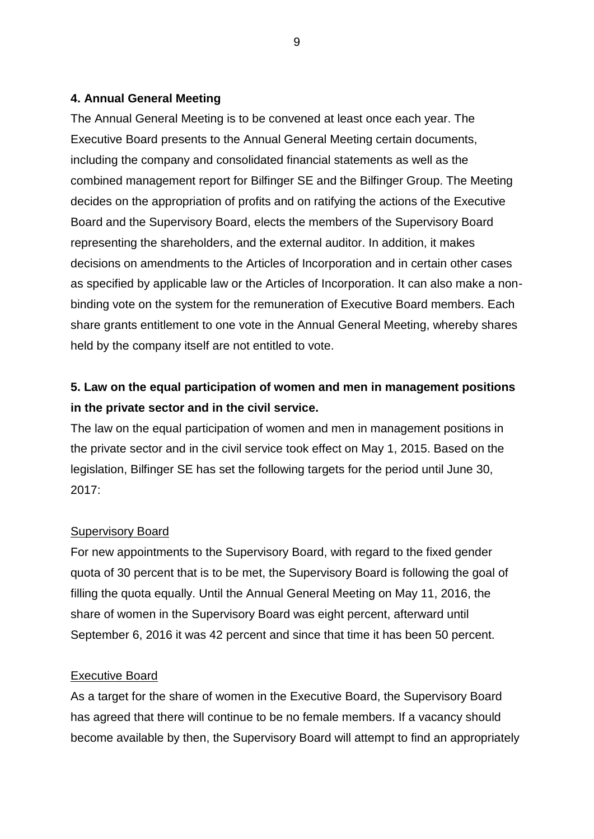## **4. Annual General Meeting**

The Annual General Meeting is to be convened at least once each year. The Executive Board presents to the Annual General Meeting certain documents, including the company and consolidated financial statements as well as the combined management report for Bilfinger SE and the Bilfinger Group. The Meeting decides on the appropriation of profits and on ratifying the actions of the Executive Board and the Supervisory Board, elects the members of the Supervisory Board representing the shareholders, and the external auditor. In addition, it makes decisions on amendments to the Articles of Incorporation and in certain other cases as specified by applicable law or the Articles of Incorporation. It can also make a nonbinding vote on the system for the remuneration of Executive Board members. Each share grants entitlement to one vote in the Annual General Meeting, whereby shares held by the company itself are not entitled to vote.

# **5. Law on the equal participation of women and men in management positions in the private sector and in the civil service.**

The law on the equal participation of women and men in management positions in the private sector and in the civil service took effect on May 1, 2015. Based on the legislation, Bilfinger SE has set the following targets for the period until June 30, 2017:

### Supervisory Board

For new appointments to the Supervisory Board, with regard to the fixed gender quota of 30 percent that is to be met, the Supervisory Board is following the goal of filling the quota equally. Until the Annual General Meeting on May 11, 2016, the share of women in the Supervisory Board was eight percent, afterward until September 6, 2016 it was 42 percent and since that time it has been 50 percent.

## Executive Board

As a target for the share of women in the Executive Board, the Supervisory Board has agreed that there will continue to be no female members. If a vacancy should become available by then, the Supervisory Board will attempt to find an appropriately